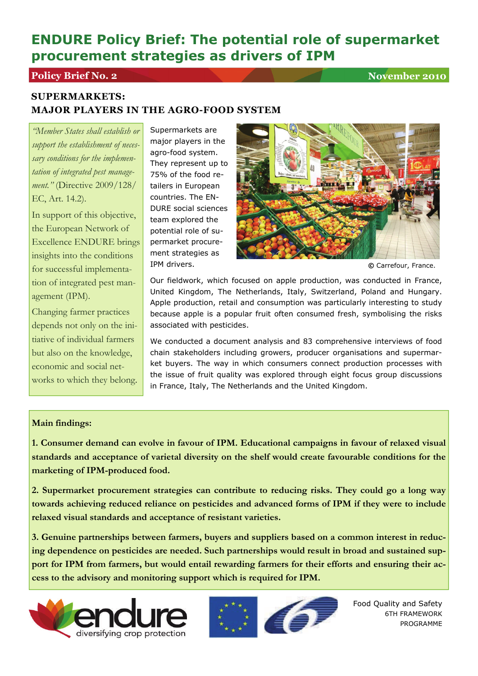# **ENDURE Policy Brief: The potential role of supermarket procurement strategies as drivers of IPM**

## **Policy Brief No. 2** November 2010

## **SUPERMARKETS: MAJOR PLAYERS IN THE AGRO-FOOD SYSTEM**

*"Member States shall establish or support the establishment of necessary conditions for the implementation of integrated pest management."* (Directive 2009/128/ EC, Art. 14.2).

In support of this objective, the European Network of Excellence ENDURE brings insights into the conditions for successful implementation of integrated pest management (IPM).

Changing farmer practices depends not only on the initiative of individual farmers but also on the knowledge, economic and social networks to which they belong. Supermarkets are major players in the agro-food system. They represent up to 75% of the food retailers in European countries. The EN-DURE social sciences team explored the potential role of supermarket procurement strategies as IPM drivers.



**©** Carrefour, France.

Our fieldwork, which focused on apple production, was conducted in France, United Kingdom, The Netherlands, Italy, Switzerland, Poland and Hungary. Apple production, retail and consumption was particularly interesting to study because apple is a popular fruit often consumed fresh, symbolising the risks associated with pesticides.

We conducted a document analysis and 83 comprehensive interviews of food chain stakeholders including growers, producer organisations and supermarket buyers. The way in which consumers connect production processes with the issue of fruit quality was explored through eight focus group discussions in France, Italy, The Netherlands and the United Kingdom.

### **Main findings:**

**1. Consumer demand can evolve in favour of IPM. Educational campaigns in favour of relaxed visual standards and acceptance of varietal diversity on the shelf would create favourable conditions for the marketing of IPM-produced food.** 

**2. Supermarket procurement strategies can contribute to reducing risks. They could go a long way towards achieving reduced reliance on pesticides and advanced forms of IPM if they were to include relaxed visual standards and acceptance of resistant varieties.** 

**3. Genuine partnerships between farmers, buyers and suppliers based on a common interest in reducing dependence on pesticides are needed. Such partnerships would result in broad and sustained support for IPM from farmers, but would entail rewarding farmers for their efforts and ensuring their access to the advisory and monitoring support which is required for IPM.** 





Food Quality and Safety 6TH FRAMEWORK PROGRAMME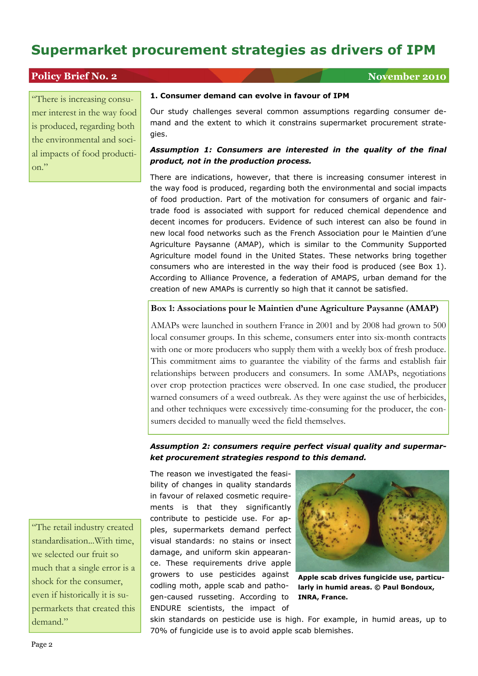### **Policy Brief No. 2** November 2010

"There is increasing consumer interest in the way food is produced, regarding both the environmental and social impacts of food production."

#### **1. Consumer demand can evolve in favour of IPM**

Our study challenges several common assumptions regarding consumer demand and the extent to which it constrains supermarket procurement strategies.

#### *Assumption 1: Consumers are interested in the quality of the final product, not in the production process.*

There are indications, however, that there is increasing consumer interest in the way food is produced, regarding both the environmental and social impacts of food production. Part of the motivation for consumers of organic and fairtrade food is associated with support for reduced chemical dependence and decent incomes for producers. Evidence of such interest can also be found in new local food networks such as the French Association pour le Maintien d'une Agriculture Paysanne (AMAP), which is similar to the Community Supported Agriculture model found in the United States. These networks bring together consumers who are interested in the way their food is produced (see Box 1). According to Alliance Provence, a federation of AMAPS, urban demand for the creation of new AMAPs is currently so high that it cannot be satisfied.

#### **Box 1: Associations pour le Maintien d'une Agriculture Paysanne (AMAP)**

AMAPs were launched in southern France in 2001 and by 2008 had grown to 500 local consumer groups. In this scheme, consumers enter into six-month contracts with one or more producers who supply them with a weekly box of fresh produce. This commitment aims to guarantee the viability of the farms and establish fair relationships between producers and consumers. In some AMAPs, negotiations over crop protection practices were observed. In one case studied, the producer warned consumers of a weed outbreak. As they were against the use of herbicides, and other techniques were excessively time-consuming for the producer, the consumers decided to manually weed the field themselves.

#### *Assumption 2: consumers require perfect visual quality and supermarket procurement strategies respond to this demand.*

The reason we investigated the feasibility of changes in quality standards in favour of relaxed cosmetic requirements is that they significantly contribute to pesticide use. For apples, supermarkets demand perfect visual standards: no stains or insect damage, and uniform skin appearance. These requirements drive apple growers to use pesticides against codling moth, apple scab and pathogen-caused russeting. According to ENDURE scientists, the impact of



**Apple scab drives fungicide use, particularly in humid areas. © Paul Bondoux, INRA, France.** 

skin standards on pesticide use is high. For example, in humid areas, up to 70% of fungicide use is to avoid apple scab blemishes.

"The retail industry created standardisation...With time, we selected our fruit so much that a single error is a shock for the consumer, even if historically it is supermarkets that created this demand."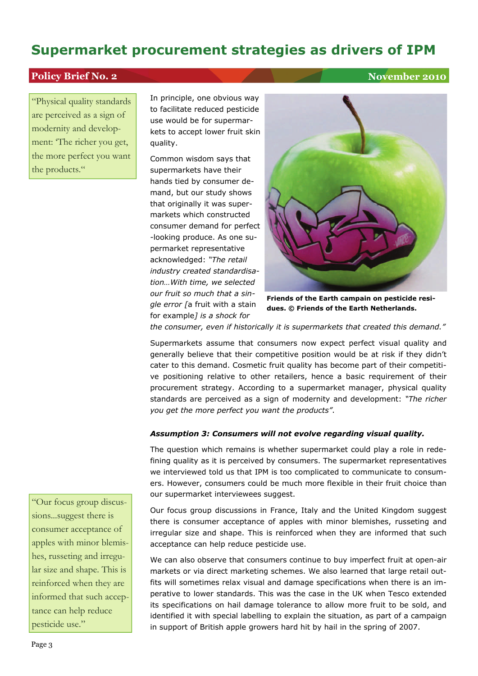### **Policy Brief No. 2** November 2010

"Physical quality standards are perceived as a sign of modernity and development: 'The richer you get, the more perfect you want the products."

In principle, one obvious way to facilitate reduced pesticide use would be for supermarkets to accept lower fruit skin quality.

Common wisdom says that supermarkets have their hands tied by consumer demand, but our study shows that originally it was supermarkets which constructed consumer demand for perfect -looking produce. As one supermarket representative acknowledged: *"The retail industry created standardisation…With time, we selected our fruit so much that a single error [*a fruit with a stain for example*] is a shock for* 



**Friends of the Earth campain on pesticide residues. © Friends of the Earth Netherlands.** 

*the consumer, even if historically it is supermarkets that created this demand."* 

Supermarkets assume that consumers now expect perfect visual quality and generally believe that their competitive position would be at risk if they didn't cater to this demand. Cosmetic fruit quality has become part of their competitive positioning relative to other retailers, hence a basic requirement of their procurement strategy. According to a supermarket manager, physical quality standards are perceived as a sign of modernity and development: *"The richer you get the more perfect you want the products"*.

#### *Assumption 3: Consumers will not evolve regarding visual quality.*

The question which remains is whether supermarket could play a role in redefining quality as it is perceived by consumers. The supermarket representatives we interviewed told us that IPM is too complicated to communicate to consumers. However, consumers could be much more flexible in their fruit choice than our supermarket interviewees suggest.

Our focus group discussions in France, Italy and the United Kingdom suggest there is consumer acceptance of apples with minor blemishes, russeting and irregular size and shape. This is reinforced when they are informed that such acceptance can help reduce pesticide use.

We can also observe that consumers continue to buy imperfect fruit at open-air markets or via direct marketing schemes. We also learned that large retail outfits will sometimes relax visual and damage specifications when there is an imperative to lower standards. This was the case in the UK when Tesco extended its specifications on hail damage tolerance to allow more fruit to be sold, and identified it with special labelling to explain the situation, as part of a campaign in support of British apple growers hard hit by hail in the spring of 2007.

"Our focus group discussions...suggest there is consumer acceptance of apples with minor blemishes, russeting and irregular size and shape. This is reinforced when they are informed that such acceptance can help reduce pesticide use."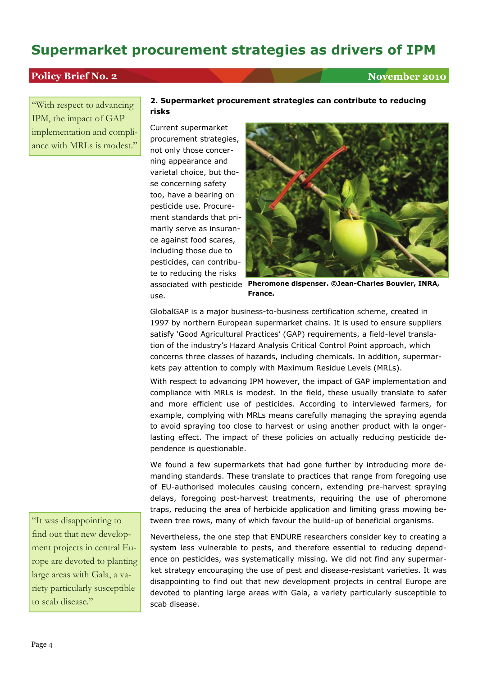## **Policy Brief No. 2** November 2010

"With respect to advancing IPM, the impact of GAP implementation and compliance with MRLs is modest."

#### **2. Supermarket procurement strategies can contribute to reducing risks**

Current supermarket procurement strategies, not only those concerning appearance and varietal choice, but those concerning safety too, have a bearing on pesticide use. Procurement standards that primarily serve as insurance against food scares, including those due to pesticides, can contribute to reducing the risks use.



associated with pesticide **Pheromone dispenser. ©Jean-Charles Bouvier, INRA, France.** 

GlobalGAP is a major business-to-business certification scheme, created in 1997 by northern European supermarket chains. It is used to ensure suppliers satisfy 'Good Agricultural Practices' (GAP) requirements, a field-level translation of the industry's Hazard Analysis Critical Control Point approach, which concerns three classes of hazards, including chemicals. In addition, supermarkets pay attention to comply with Maximum Residue Levels (MRLs).

With respect to advancing IPM however, the impact of GAP implementation and compliance with MRLs is modest. In the field, these usually translate to safer and more efficient use of pesticides. According to interviewed farmers, for example, complying with MRLs means carefully managing the spraying agenda to avoid spraying too close to harvest or using another product with la ongerlasting effect. The impact of these policies on actually reducing pesticide dependence is questionable.

We found a few supermarkets that had gone further by introducing more demanding standards. These translate to practices that range from foregoing use of EU-authorised molecules causing concern, extending pre-harvest spraying delays, foregoing post-harvest treatments, requiring the use of pheromone traps, reducing the area of herbicide application and limiting grass mowing between tree rows, many of which favour the build-up of beneficial organisms.

Nevertheless, the one step that ENDURE researchers consider key to creating a system less vulnerable to pests, and therefore essential to reducing dependence on pesticides, was systematically missing. We did not find any supermarket strategy encouraging the use of pest and disease-resistant varieties. It was disappointing to find out that new development projects in central Europe are devoted to planting large areas with Gala, a variety particularly susceptible to scab disease.

"It was disappointing to find out that new development projects in central Europe are devoted to planting large areas with Gala, a variety particularly susceptible to scab disease."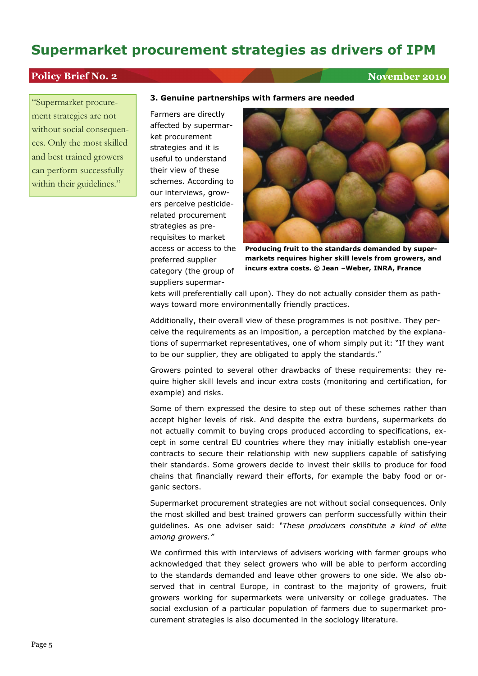### **Policy Brief No. 2** November 2010

"Supermarket procurement strategies are not without social consequences. Only the most skilled and best trained growers can perform successfully within their guidelines."

#### **3. Genuine partnerships with farmers are needed**

Farmers are directly affected by supermarket procurement strategies and it is useful to understand their view of these schemes. According to our interviews, growers perceive pesticiderelated procurement strategies as prerequisites to market access or access to the preferred supplier category (the group of suppliers supermar-



**Producing fruit to the standards demanded by supermarkets requires higher skill levels from growers, and incurs extra costs. © Jean –Weber, INRA, France** 

kets will preferentially call upon). They do not actually consider them as pathways toward more environmentally friendly practices.

Additionally, their overall view of these programmes is not positive. They perceive the requirements as an imposition, a perception matched by the explanations of supermarket representatives, one of whom simply put it: "If they want to be our supplier, they are obligated to apply the standards."

Growers pointed to several other drawbacks of these requirements: they require higher skill levels and incur extra costs (monitoring and certification, for example) and risks.

Some of them expressed the desire to step out of these schemes rather than accept higher levels of risk. And despite the extra burdens, supermarkets do not actually commit to buying crops produced according to specifications, except in some central EU countries where they may initially establish one-year contracts to secure their relationship with new suppliers capable of satisfying their standards. Some growers decide to invest their skills to produce for food chains that financially reward their efforts, for example the baby food or organic sectors.

Supermarket procurement strategies are not without social consequences. Only the most skilled and best trained growers can perform successfully within their guidelines. As one adviser said: *"These producers constitute a kind of elite among growers."*

We confirmed this with interviews of advisers working with farmer groups who acknowledged that they select growers who will be able to perform according to the standards demanded and leave other growers to one side. We also observed that in central Europe, in contrast to the majority of growers, fruit growers working for supermarkets were university or college graduates. The social exclusion of a particular population of farmers due to supermarket procurement strategies is also documented in the sociology literature.